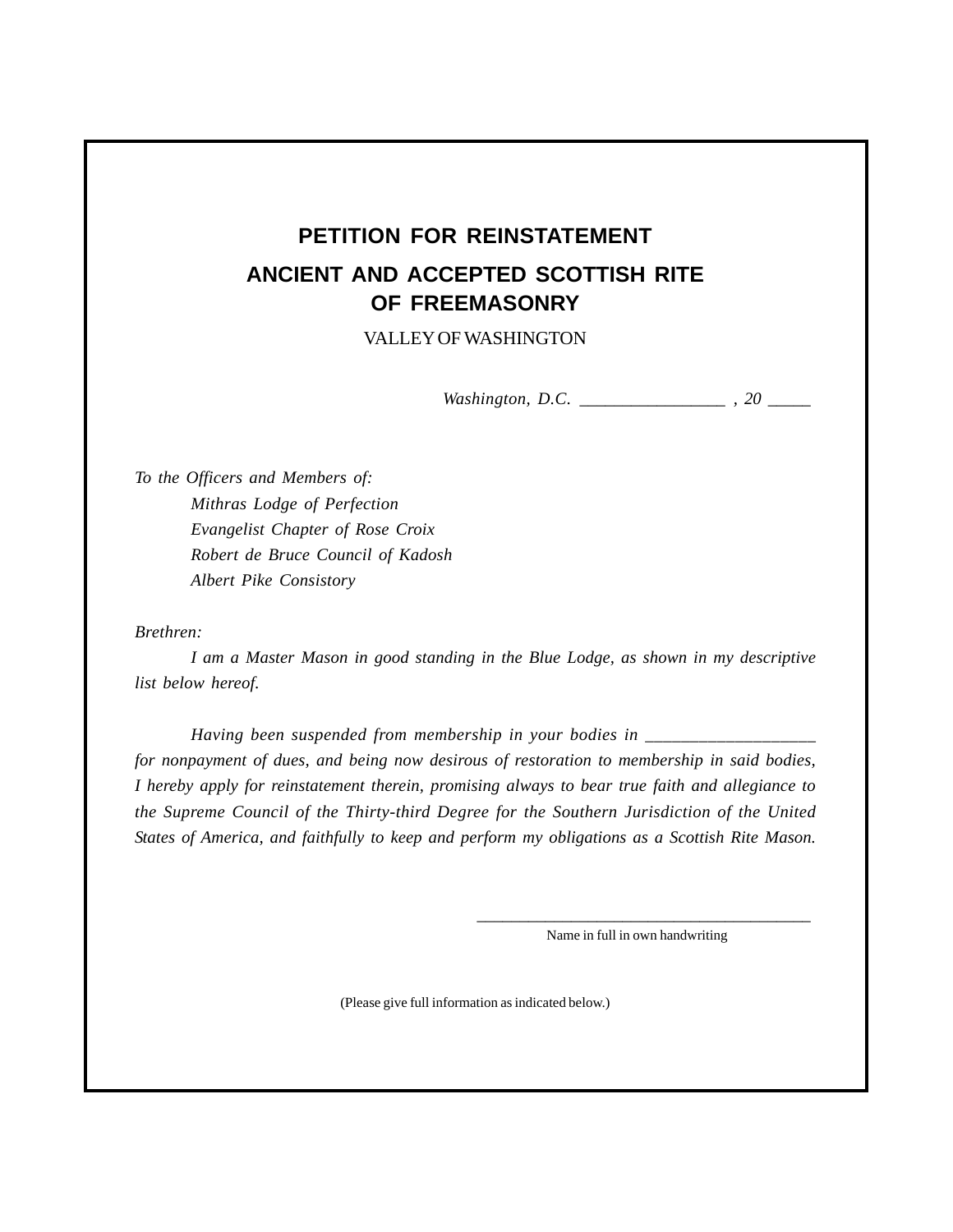## **PETITION FOR REINSTATEMENT ANCIENT AND ACCEPTED SCOTTISH RITE OF FREEMASONRY**

VALLEY OF WASHINGTON

*Washington, D.C. \_\_\_\_\_\_\_\_\_\_\_\_\_\_\_\_\_ , 20 \_\_\_\_\_*

*To the Officers and Members of: Mithras Lodge of Perfection Evangelist Chapter of Rose Croix Robert de Bruce Council of Kadosh Albert Pike Consistory*

## *Brethren:*

*I am a Master Mason in good standing in the Blue Lodge, as shown in my descriptive list below hereof.*

*Having been suspended from membership in your bodies in \_\_\_\_\_\_\_\_\_\_\_\_\_\_\_\_\_\_\_ for nonpayment of dues, and being now desirous of restoration to membership in said bodies, I hereby apply for reinstatement therein, promising always to bear true faith and allegiance to the Supreme Council of the Thirty-third Degree for the Southern Jurisdiction of the United States of America, and faithfully to keep and perform my obligations as a Scottish Rite Mason.*

> *\_\_\_\_\_\_\_\_\_\_\_\_\_\_\_\_\_\_\_\_\_\_\_\_\_\_\_\_\_\_\_\_\_\_\_\_\_\_\_* Name in full in own handwriting

(Please give full information as indicated below.)